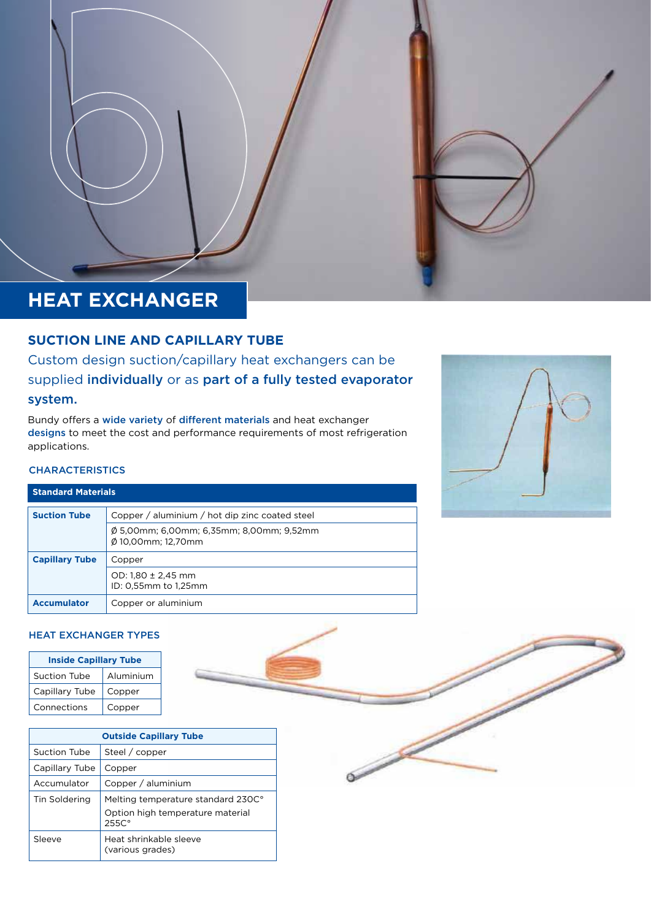# **HEAT EXCHANGER**

### **SUCTION LINE AND CAPILLARY TUBE**

Custom design suction/capillary heat exchangers can be supplied individually or as part of a fully tested evaporator system.

Bundy offers a wide variety of different materials and heat exchanger designs to meet the cost and performance requirements of most refrigeration applications.



### **CHARACTERISTICS**

| <b>Standard Materials</b> |                                                                |  |  |
|---------------------------|----------------------------------------------------------------|--|--|
| <b>Suction Tube</b>       | Copper / aluminium / hot dip zinc coated steel                 |  |  |
|                           | Ø 5,00mm; 6,00mm; 6,35mm; 8,00mm; 9,52mm<br>Ø 10.00mm: 12.70mm |  |  |
| <b>Capillary Tube</b>     | Copper                                                         |  |  |
|                           | OD: $1,80 \pm 2,45$ mm<br>ID: 0.55mm to 1.25mm                 |  |  |
| <b>Accumulator</b>        | Copper or aluminium                                            |  |  |

### HEAT EXCHANGER TYPES

| <b>Inside Capillary Tube</b> |           |  |  |  |
|------------------------------|-----------|--|--|--|
| <b>Suction Tube</b>          | Aluminium |  |  |  |
| Capillary Tube               | Copper    |  |  |  |
| Connections                  | Copper    |  |  |  |

| <b>Outside Capillary Tube</b> |                                                                                             |  |  |  |
|-------------------------------|---------------------------------------------------------------------------------------------|--|--|--|
| Suction Tube                  | Steel / copper                                                                              |  |  |  |
| Capillary Tube                | Copper                                                                                      |  |  |  |
| Accumulator                   | Copper / aluminium                                                                          |  |  |  |
| Tin Soldering                 | Melting temperature standard 230C°<br>Option high temperature material<br>255C <sup>o</sup> |  |  |  |
| Sleeve                        | Heat shrinkable sleeve<br>(various grades)                                                  |  |  |  |